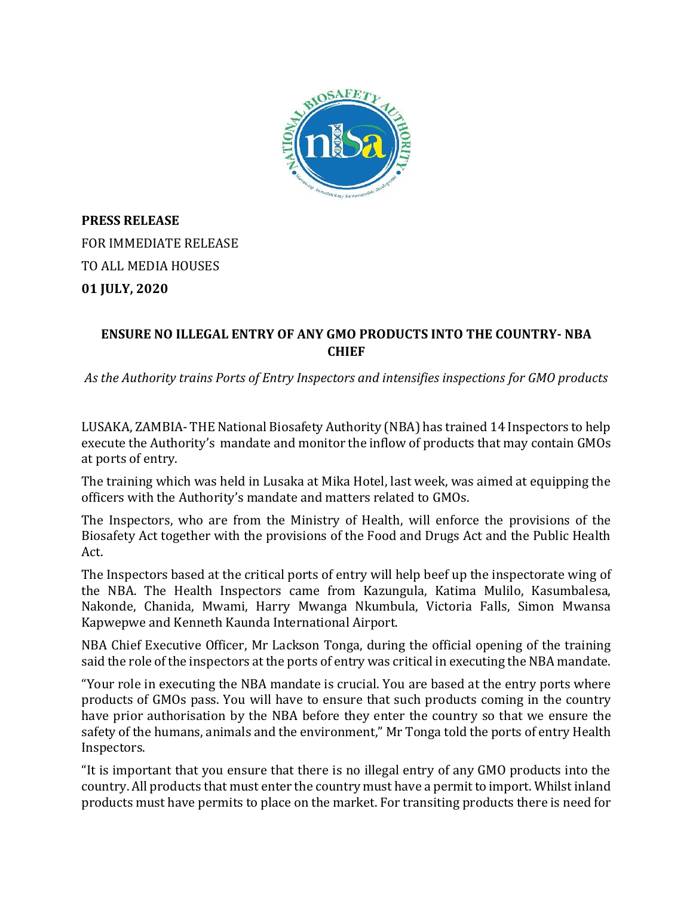

**PRESS RELEASE** FOR IMMEDIATE RELEASE TO ALL MEDIA HOUSES **01 JULY, 2020**

## **ENSURE NO ILLEGAL ENTRY OF ANY GMO PRODUCTS INTO THE COUNTRY- NBA CHIEF**

*As the Authority trains Ports of Entry Inspectors and intensifies inspections for GMO products* 

LUSAKA, ZAMBIA- THE National Biosafety Authority (NBA) has trained 14 Inspectors to help execute the Authority's mandate and monitor the inflow of products that may contain GMOs at ports of entry.

The training which was held in Lusaka at Mika Hotel, last week, was aimed at equipping the officers with the Authority's mandate and matters related to GMOs.

The Inspectors, who are from the Ministry of Health, will enforce the provisions of the Biosafety Act together with the provisions of the Food and Drugs Act and the Public Health Act.

The Inspectors based at the critical ports of entry will help beef up the inspectorate wing of the NBA. The Health Inspectors came from Kazungula, Katima Mulilo, Kasumbalesa, Nakonde, Chanida, Mwami, Harry Mwanga Nkumbula, Victoria Falls, Simon Mwansa Kapwepwe and Kenneth Kaunda International Airport.

NBA Chief Executive Officer, Mr Lackson Tonga, during the official opening of the training said the role of the inspectors at the ports of entry was critical in executing the NBA mandate.

"Your role in executing the NBA mandate is crucial. You are based at the entry ports where products of GMOs pass. You will have to ensure that such products coming in the country have prior authorisation by the NBA before they enter the country so that we ensure the safety of the humans, animals and the environment," Mr Tonga told the ports of entry Health Inspectors.

"It is important that you ensure that there is no illegal entry of any GMO products into the country. All products that must enter the country must have a permit to import. Whilst inland products must have permits to place on the market. For transiting products there is need for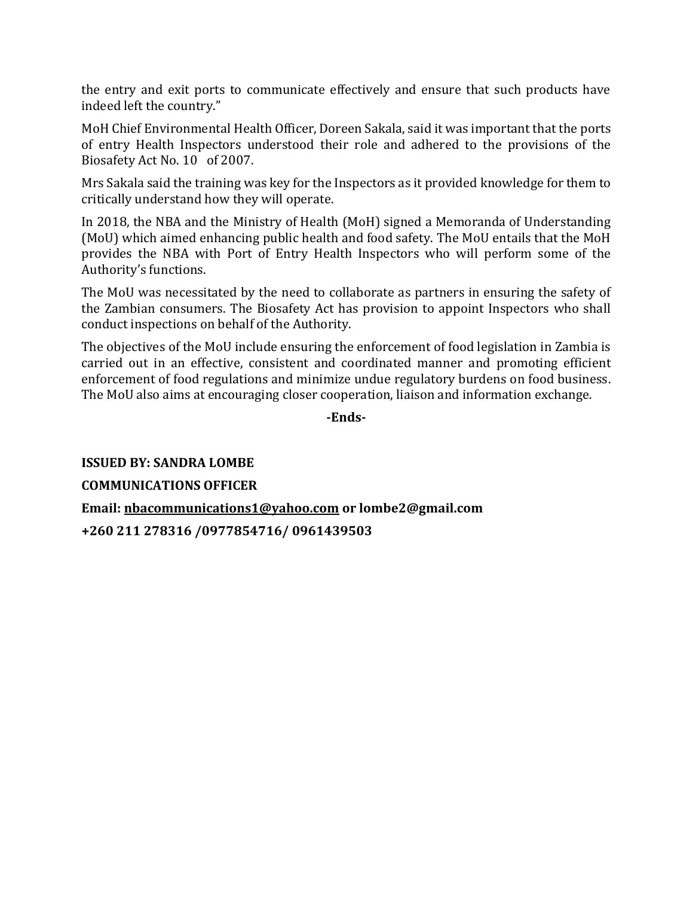the entry and exit ports to communicate effectively and ensure that such products have indeed left the country."

MoH Chief Environmental Health Officer, Doreen Sakala, said it was important that the ports of entry Health Inspectors understood their role and adhered to the provisions of the Biosafety Act No. 10 of 2007.

Mrs Sakala said the training was key for the Inspectors as it provided knowledge for them to critically understand how they will operate.

In 2018, the NBA and the Ministry of Health (MoH) signed a Memoranda of Understanding (MoU) which aimed enhancing public health and food safety. The MoU entails that the MoH provides the NBA with Port of Entry Health Inspectors who will perform some of the Authority's functions.

The MoU was necessitated by the need to collaborate as partners in ensuring the safety of the Zambian consumers. The Biosafety Act has provision to appoint Inspectors who shall conduct inspections on behalf of the Authority.

The objectives of the MoU include ensuring the enforcement of food legislation in Zambia is carried out in an effective, consistent and coordinated manner and promoting efficient enforcement of food regulations and minimize undue regulatory burdens on food business. The MoU also aims at encouraging closer cooperation, liaison and information exchange.

**-Ends-**

**ISSUED BY: SANDRA LOMBE COMMUNICATIONS OFFICER Email: [nbacommunications1@yahoo.com](mailto:nbacommunications1@yahoo.com) or lombe2@gmail.com +260 211 278316 /0977854716/ 0961439503**